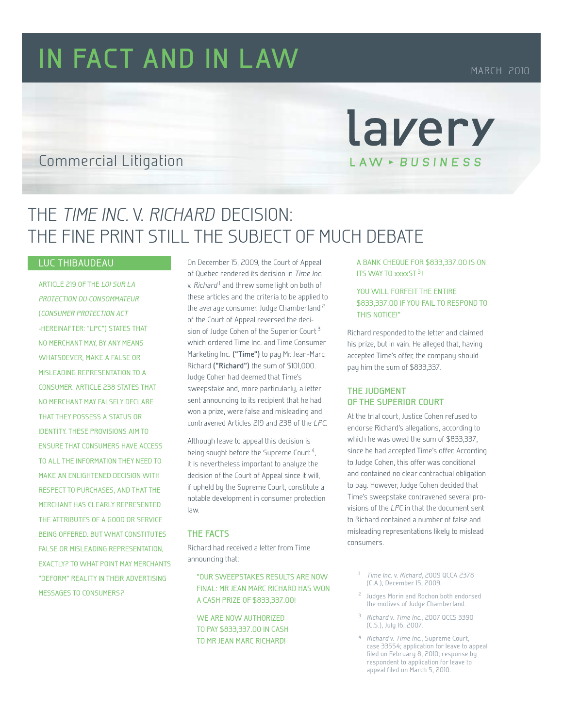# **IN FACT AND IN LAW** MARCH 2010

## Commercial Litigation

## THE TIME INC. v. RICHARD DECISION: THE FINE PRINT STILL THE SUBJECT OF MUCH DEBATE

## Luc Thibaudeau

Article 219 of the Loi sur la protection du consommateur (Consumer Protection Act -hereinafter: "LPC") states that no merchant may, by any means WHATSOEVER, MAKE A FALSE OR misleading representation to a consumer. Article 238 states that no merchant may falsely declare that they possess a status or identity. These provisions aim to ensure that consumers have access to all the information they need to make an enlightened decision with respect to purchases, and that the merchant has clearly represented the attributes of a good or service being offered. But what constitutes FALSE OR MISLEADING REPRESENTATION. exactly? To what point may merchants "deform" reality in their advertising messages to consumers ?

On December 15, 2009, the Court of Appeal of Quebec rendered its decision in Time Inc. v. Richard<sup>1</sup> and threw some light on both of these articles and the criteria to be applied to the average consumer. Judge Chamberland<sup>2</sup> of the Court of Appeal reversed the decision of Judge Cohen of the Superior Court  $3$ which ordered Time Inc. and Time Consumer Marketing Inc. **("Time")** to pay Mr. Jean-Marc Richard **("Richard")** the sum of \$101,000. Judge Cohen had deemed that Time's sweepstake and, more particularly, a letter sent announcing to its recipient that he had won a prize, were false and misleading and contravened Articles 219 and 238 of the LPC.

Although leave to appeal this decision is being sought before the Supreme Court<sup>4</sup>, it is nevertheless important to analyze the decision of the Court of Appeal since it will, if upheld by the Supreme Court, constitute a notable development in consumer protection law.

#### **The Facts**

Richard had received a letter from Time announcing that:

"OUR SWEEPSTAKES RESULTS ARE NOW FINAL: MR JEAN MARC RICHARD HAS WON A CASH PRIZE OF \$833,337.00!

 WE ARE NOW AUTHORIZED TO PAY \$833,337.00 IN CASH TO MR JEAN MARC RICHARD!

 A BANK CHEQUE FOR \$833,337.00 IS ON ITS WAY TO xxxxST 3!

lavery

LAW - BUSINESS

 YOU WILL FORFEIT THE ENTIRE \$833,337.00 IF YOU FAIL TO RESPOND TO THIS NOTICE!"

Richard responded to the letter and claimed his prize, but in vain. He alleged that, having accepted Time's offer, the company should pay him the sum of \$833,337.

### **The judgment of the Superior Court**

At the trial court, Justice Cohen refused to endorse Richard's allegations, according to which he was owed the sum of \$833,337, since he had accepted Time's offer. According to Judge Cohen, this offer was conditional and contained no clear contractual obligation to pay. However, Judge Cohen decided that Time's sweepstake contravened several provisions of the LPC in that the document sent to Richard contained a number of false and misleading representations likely to mislead consumers.

- Time Inc. v. Richard, 2009 QCCA 2378 (C.A.), December 15, 2009.
- 2 Judges Morin and Rochon both endorsed the motives of Judge Chamberland.
- <sup>3</sup> Richard v. Time Inc., 2007 QCCS 3390 (C.S.), July 16, 2007.
- Richard v. Time Inc., Supreme Court, case 33554; application for leave to appeal filed on February 8, 2010; response by respondent to application for leave to appeal filed on March 5, 2010.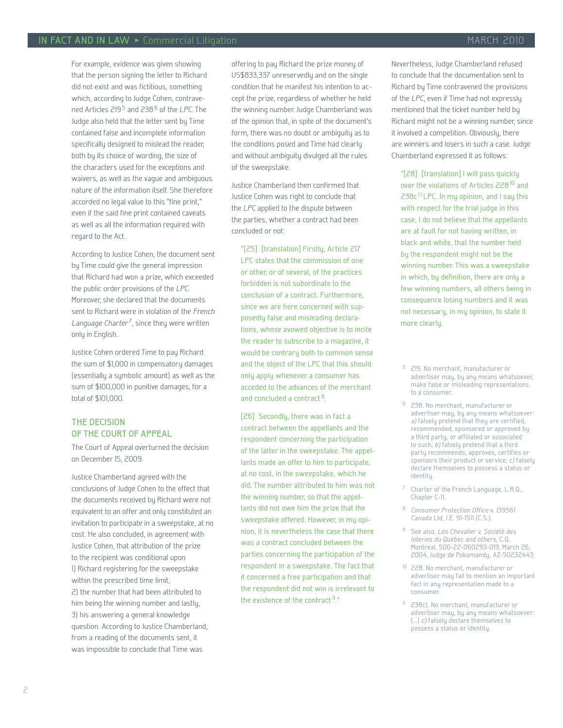For example, evidence was given showing that the person signing the letter to Richard did not exist and was fictitious, something which, according to Judge Cohen, contravened Articles 219<sup>5</sup> and 238<sup>6</sup> of the LPC. The Judge also held that the letter sent by Time contained false and incomplete information specifically designed to mislead the reader, both by its choice of wording, the size of the characters used for the exceptions and waivers, as well as the vague and ambiguous nature of the information itself. She therefore accorded no legal value to this "fine print," even if the said fine print contained caveats as well as all the information required with regard to the Act.

According to Justice Cohen, the document sent by Time could give the general impression that Richard had won a prize, which exceeded the public order provisions of the LPC. Moreover, she declared that the documents sent to Richard were in violation of the French Language Charter<sup>7</sup>, since they were written only in English.

Justice Cohen ordered Time to pay Richard the sum of \$1,000 in compensatory damages (essentially a symbolic amount) as well as the sum of \$100,000 in punitive damages, for a total of \$101,000.

## **The decision of the Court of Appeal**

The Court of Appeal overturned the decision on December 15, 2009.

Justice Chamberland agreed with the conclusions of Judge Cohen to the effect that the documents received by Richard were not equivalent to an offer and only constituted an invitation to participate in a sweepstake, at no cost. He also concluded, in agreement with Justice Cohen, that attribution of the prize to the recipient was conditional upon 1) Richard registering for the sweepstake within the prescribed time limit, 2) the number that had been attributed to him being the winning number and lastly, 3) his answering a general knowledge question. According to Justice Chamberland, from a reading of the documents sent, it was impossible to conclude that Time was

offering to pay Richard the prize money of US\$833,337 unreservedly and on the single condition that he manifest his intention to accept the prize, regardless of whether he held the winning number. Judge Chamberland was of the opinion that, in spite of the document's form, there was no doubt or ambiguity as to the conditions posed and Time had clearly and without ambiguity divulged all the rules of the sweepstake.

Justice Chamberland then confirmed that Justice Cohen was right to conclude that the LPC applied to the dispute between the parties, whether a contract had been concluded or not:

"[25] [translation] Firstly, Article 217 LPC states that the commission of one or other, or of several, of the practices forbidden is not subordinate to the conclusion of a contract. Furthermore, since we are here concerned with supposedly false and misleading declarations, whose avowed objective is to incite the reader to subscribe to a magazine, it would be contrary both to common sense and the object of the LPC that this should only apply whenever a consumer has acceded to the advances of the merchant and concluded a contract  $8$ .

[26] Secondly, there was in fact a contract between the appellants and the respondent concerning the participation of the latter in the sweepstake. The appellants made an offer to him to participate, at no cost, in the sweepstake, which he did. The number attributed to him was not the winning number, so that the appellants did not owe him the prize that the sweepstake offered. However, in my opinion, it is nevertheless the case that there was a contract concluded between the parties concerning the participation of the respondent in a sweepstake. The fact that it concerned a free participation and that the respondent did not win is irrelevant to the existence of the contract<sup>9</sup>."

Nevertheless, Judge Chamberland refused to conclude that the documentation sent to Richard by Time contravened the provisions of the LPC, even if Time had not expressly mentioned that the ticket number held by Richard might not be a winning number, since it involved a competition. Obviously, there are winners and losers in such a case. Judge Chamberland expressed it as follows:

"[28] [translation] I will pass quickly over the violations of Articles 228<sup>10</sup> and 238c<sup>11</sup> LPC. In my opinion, and I say this with respect for the trial judge in this case, I do not believe that the appellants are at fault for not having written, in black and white, that the number held by the respondent might not be the winning number. This was a sweepstake in which, by definition, there are only a few winning numbers, all others being in consequence losing numbers and it was not necessary, in my opinion, to state it more clearly.

- 219. No merchant, manufacturer or advertiser may, by any means whatsoever, make false or misleading representations to a consumer.
- 6 238. No merchant, manufacturer or advertiser may, by any means whatsoever: a) falsely pretend that they are certified, recommended, sponsored or approved by a third party, or affiliated or associated to such;  $b$ ) falsely pretend that a third party recommends, approves, certifies or sponsors their product or service; c) falsely declare themselves to possess a status or identitu.
- 7 Charter of the French Language, L.R.Q., Chapter C-11.
- <sup>8</sup> Consumer Protection Office v. 139561 Canada Ltd, J.E. 91-1511 (C.S.).
- <sup>9</sup> See also, Léo Chevalier v. Société des loteries du Québec and others, C.Q. Montreal, 500-22-060293-019, March 26, 2004, Judge de Pokomandy, AZ-50232443.
- <sup>10</sup> 228. No merchant, manufacturer or advertiser may fail to mention an important fact in any representation made to a consumer.
- 11 238c). No merchant, manufacturer or advertiser may, by any means whatsoever: (…) c) falsely declare themselves to possess a status or identity.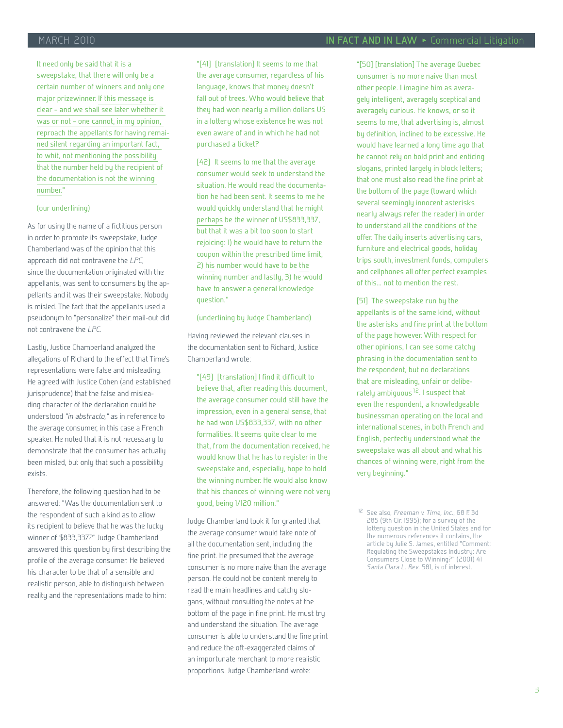It need only be said that it is a sweepstake, that there will only be a certain number of winners and only one major prizewinner. If this message is clear – and we shall see later whether it was or not – one cannot, in my opinion, reproach the appellants for having remained silent regarding an important fact, to whit, not mentioning the possibility that the number held by the recipient of the documentation is not the winning number."

#### (our underlining)

As for using the name of a fictitious person in order to promote its sweepstake, Judge Chamberland was of the opinion that this approach did not contravene the LPC, since the documentation originated with the appellants, was sent to consumers by the appellants and it was their sweepstake. Nobody is misled. The fact that the appellants used a pseudonym to "personalize" their mail-out did not contravene the LPC.

Lastly, Justice Chamberland analyzed the allegations of Richard to the effect that Time's representations were false and misleading. He agreed with Justice Cohen (and established jurisprudence) that the false and misleading character of the declaration could be understood "in abstracto," as in reference to the average consumer, in this case a French speaker. He noted that it is not necessary to demonstrate that the consumer has actually been misled, but only that such a possibility exists.

Therefore, the following question had to be answered: "Was the documentation sent to the respondent of such a kind as to allow its recipient to believe that he was the lucky winner of \$833,337?" Judge Chamberland answered this question by first describing the profile of the average consumer. He believed his character to be that of a sensible and realistic person, able to distinguish between reality and the representations made to him:

"[41] [translation] It seems to me that the average consumer, regardless of his language, knows that money doesn't fall out of trees. Who would believe that they had won nearly a million dollars US in a lottery whose existence he was not even aware of and in which he had not purchased a ticket?

[42] It seems to me that the average consumer would seek to understand the situation. He would read the documentation he had been sent. It seems to me he would quickly understand that he might perhaps be the winner of US\$833,337, but that it was a bit too soon to start rejoicing: 1) he would have to return the coupon within the prescribed time limit, 2) his number would have to be the winning number and lastly, 3) he would have to answer a general knowledge question."

#### (underlining by Judge Chamberland)

Having reviewed the relevant clauses in the documentation sent to Richard, Justice Chamberland wrote:

"[49] [translation] I find it difficult to believe that, after reading this document, the average consumer could still have the impression, even in a general sense, that he had won US\$833,337, with no other formalities. It seems quite clear to me that, from the documentation received, he would know that he has to register in the sweepstake and, especially, hope to hold the winning number. He would also know that his chances of winning were not very good, being 1/120 million."

Judge Chamberland took it for granted that the average consumer would take note of all the documentation sent, including the fine print. He presumed that the average consumer is no more naive than the average person. He could not be content merely to read the main headlines and catchy slogans, without consulting the notes at the bottom of the page in fine print. He must try and understand the situation. The average consumer is able to understand the fine print and reduce the oft-exaggerated claims of an importunate merchant to more realistic proportions. Judge Chamberland wrote:

"[50] [translation] The average Quebec consumer is no more naive than most other people. I imagine him as averagely intelligent, averagely sceptical and averagely curious. He knows, or so it seems to me, that advertising is, almost by definition, inclined to be excessive. He would have learned a long time ago that he cannot rely on bold print and enticing slogans, printed largely in block letters; that one must also read the fine print at the bottom of the page (toward which several seemingly innocent asterisks nearly always refer the reader) in order to understand all the conditions of the offer. The daily inserts advertising cars, furniture and electrical goods, holiday trips south, investment funds, computers and cellphones all offer perfect examples of this… not to mention the rest.

[51] The sweepstake run by the appellants is of the same kind, without the asterisks and fine print at the bottom of the page however. With respect for other opinions, I can see some catchy phrasing in the documentation sent to the respondent, but no declarations that are misleading, unfair or deliberately ambiguous<sup>12</sup>. I suspect that even the respondent, a knowledgeable businessman operating on the local and international scenes, in both French and English, perfectly understood what the sweepstake was all about and what his chances of winning were, right from the very beginning."

<sup>&</sup>lt;sup>12</sup> See also, Freeman v. Time, Inc., 68 F. 3d 285 (9th Cir. 1995); for a survey of the lottery question in the United States and for the numerous references it contains, the article by Julie S. James, entitled "Comment: Regulating the Sweepstakes Industry: Are Consumers Close to Winning?" (2001) 41 Santa Clara L. Rev. 581, is of interest.